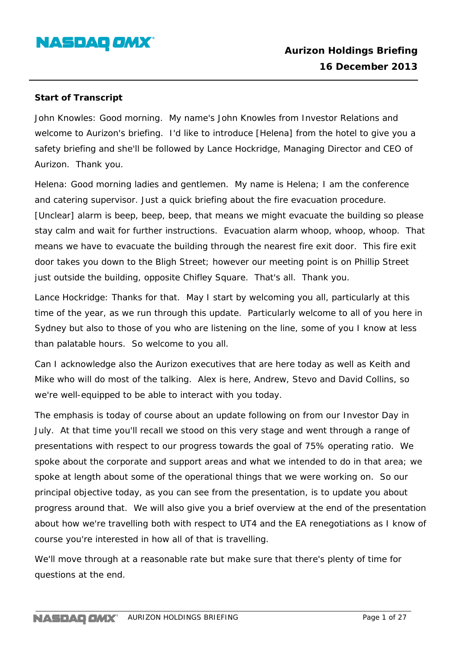

#### **Start of Transcript**

John Knowles: Good morning. My name's John Knowles from Investor Relations and welcome to Aurizon's briefing. I'd like to introduce [Helena] from the hotel to give you a safety briefing and she'll be followed by Lance Hockridge, Managing Director and CEO of Aurizon. Thank you.

Helena: Good morning ladies and gentlemen. My name is Helena; I am the conference and catering supervisor. Just a quick briefing about the fire evacuation procedure. [Unclear] alarm is beep, beep, beep, that means we might evacuate the building so please stay calm and wait for further instructions. Evacuation alarm whoop, whoop, whoop. That means we have to evacuate the building through the nearest fire exit door. This fire exit door takes you down to the Bligh Street; however our meeting point is on Phillip Street just outside the building, opposite Chifley Square. That's all. Thank you.

Lance Hockridge: Thanks for that. May I start by welcoming you all, particularly at this time of the year, as we run through this update. Particularly welcome to all of you here in Sydney but also to those of you who are listening on the line, some of you I know at less than palatable hours. So welcome to you all.

Can I acknowledge also the Aurizon executives that are here today as well as Keith and Mike who will do most of the talking. Alex is here, Andrew, Stevo and David Collins, so we're well-equipped to be able to interact with you today.

The emphasis is today of course about an update following on from our Investor Day in July. At that time you'll recall we stood on this very stage and went through a range of presentations with respect to our progress towards the goal of 75% operating ratio. We spoke about the corporate and support areas and what we intended to do in that area; we spoke at length about some of the operational things that we were working on. So our principal objective today, as you can see from the presentation, is to update you about progress around that. We will also give you a brief overview at the end of the presentation about how we're travelling both with respect to UT4 and the EA renegotiations as I know of course you're interested in how all of that is travelling.

We'll move through at a reasonable rate but make sure that there's plenty of time for questions at the end.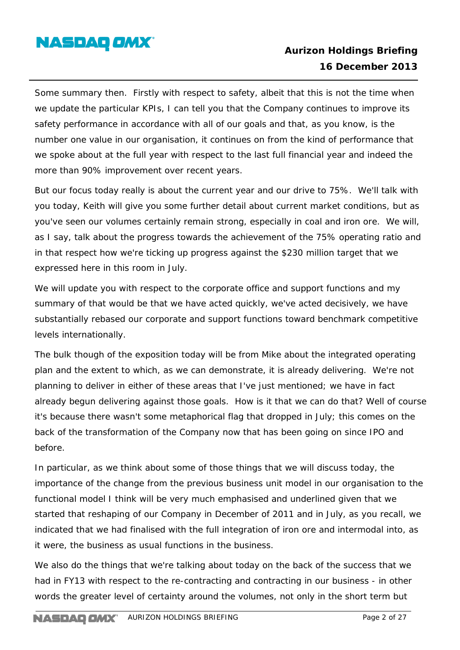

Some summary then. Firstly with respect to safety, albeit that this is not the time when we update the particular KPIs, I can tell you that the Company continues to improve its safety performance in accordance with all of our goals and that, as you know, is the number one value in our organisation, it continues on from the kind of performance that we spoke about at the full year with respect to the last full financial year and indeed the more than 90% improvement over recent years.

But our focus today really is about the current year and our drive to 75%. We'll talk with you today, Keith will give you some further detail about current market conditions, but as you've seen our volumes certainly remain strong, especially in coal and iron ore. We will, as I say, talk about the progress towards the achievement of the 75% operating ratio and in that respect how we're ticking up progress against the \$230 million target that we expressed here in this room in July.

We will update you with respect to the corporate office and support functions and my summary of that would be that we have acted quickly, we've acted decisively, we have substantially rebased our corporate and support functions toward benchmark competitive levels internationally.

The bulk though of the exposition today will be from Mike about the integrated operating plan and the extent to which, as we can demonstrate, it is already delivering. We're not planning to deliver in either of these areas that I've just mentioned; we have in fact already begun delivering against those goals. How is it that we can do that? Well of course it's because there wasn't some metaphorical flag that dropped in July; this comes on the back of the transformation of the Company now that has been going on since IPO and before.

In particular, as we think about some of those things that we will discuss today, the importance of the change from the previous business unit model in our organisation to the functional model I think will be very much emphasised and underlined given that we started that reshaping of our Company in December of 2011 and in July, as you recall, we indicated that we had finalised with the full integration of iron ore and intermodal into, as it were, the business as usual functions in the business.

We also do the things that we're talking about today on the back of the success that we had in FY13 with respect to the re-contracting and contracting in our business - in other words the greater level of certainty around the volumes, not only in the short term but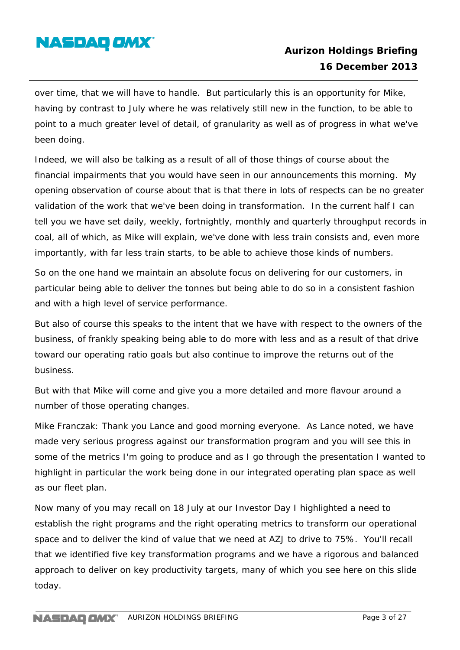

over time, that we will have to handle. But particularly this is an opportunity for Mike, having by contrast to July where he was relatively still new in the function, to be able to point to a much greater level of detail, of granularity as well as of progress in what we've been doing.

Indeed, we will also be talking as a result of all of those things of course about the financial impairments that you would have seen in our announcements this morning. My opening observation of course about that is that there in lots of respects can be no greater validation of the work that we've been doing in transformation. In the current half I can tell you we have set daily, weekly, fortnightly, monthly and quarterly throughput records in coal, all of which, as Mike will explain, we've done with less train consists and, even more importantly, with far less train starts, to be able to achieve those kinds of numbers.

So on the one hand we maintain an absolute focus on delivering for our customers, in particular being able to deliver the tonnes but being able to do so in a consistent fashion and with a high level of service performance.

But also of course this speaks to the intent that we have with respect to the owners of the business, of frankly speaking being able to do more with less and as a result of that drive toward our operating ratio goals but also continue to improve the returns out of the business.

But with that Mike will come and give you a more detailed and more flavour around a number of those operating changes.

Mike Franczak: Thank you Lance and good morning everyone. As Lance noted, we have made very serious progress against our transformation program and you will see this in some of the metrics I'm going to produce and as I go through the presentation I wanted to highlight in particular the work being done in our integrated operating plan space as well as our fleet plan.

Now many of you may recall on 18 July at our Investor Day I highlighted a need to establish the right programs and the right operating metrics to transform our operational space and to deliver the kind of value that we need at AZJ to drive to 75%. You'll recall that we identified five key transformation programs and we have a rigorous and balanced approach to deliver on key productivity targets, many of which you see here on this slide today.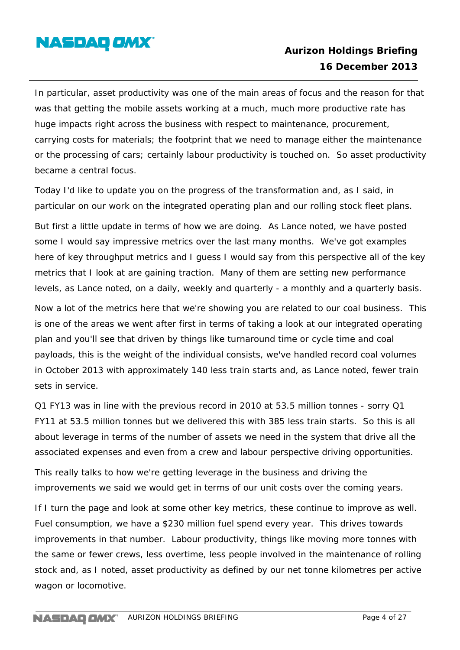

In particular, asset productivity was one of the main areas of focus and the reason for that was that getting the mobile assets working at a much, much more productive rate has huge impacts right across the business with respect to maintenance, procurement, carrying costs for materials; the footprint that we need to manage either the maintenance or the processing of cars; certainly labour productivity is touched on. So asset productivity became a central focus.

Today I'd like to update you on the progress of the transformation and, as I said, in particular on our work on the integrated operating plan and our rolling stock fleet plans.

But first a little update in terms of how we are doing. As Lance noted, we have posted some I would say impressive metrics over the last many months. We've got examples here of key throughput metrics and I guess I would say from this perspective all of the key metrics that I look at are gaining traction. Many of them are setting new performance levels, as Lance noted, on a daily, weekly and quarterly - a monthly and a quarterly basis.

Now a lot of the metrics here that we're showing you are related to our coal business. This is one of the areas we went after first in terms of taking a look at our integrated operating plan and you'll see that driven by things like turnaround time or cycle time and coal payloads, this is the weight of the individual consists, we've handled record coal volumes in October 2013 with approximately 140 less train starts and, as Lance noted, fewer train sets in service.

Q1 FY13 was in line with the previous record in 2010 at 53.5 million tonnes - sorry Q1 FY11 at 53.5 million tonnes but we delivered this with 385 less train starts. So this is all about leverage in terms of the number of assets we need in the system that drive all the associated expenses and even from a crew and labour perspective driving opportunities.

This really talks to how we're getting leverage in the business and driving the improvements we said we would get in terms of our unit costs over the coming years.

If I turn the page and look at some other key metrics, these continue to improve as well. Fuel consumption, we have a \$230 million fuel spend every year. This drives towards improvements in that number. Labour productivity, things like moving more tonnes with the same or fewer crews, less overtime, less people involved in the maintenance of rolling stock and, as I noted, asset productivity as defined by our net tonne kilometres per active wagon or locomotive.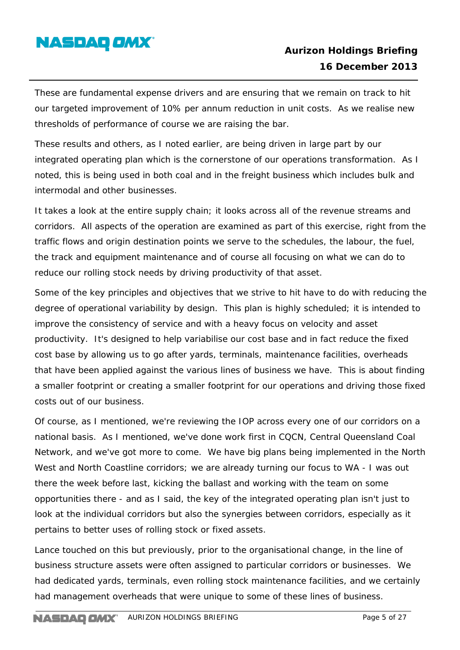

These are fundamental expense drivers and are ensuring that we remain on track to hit our targeted improvement of 10% per annum reduction in unit costs. As we realise new thresholds of performance of course we are raising the bar.

These results and others, as I noted earlier, are being driven in large part by our integrated operating plan which is the cornerstone of our operations transformation. As I noted, this is being used in both coal and in the freight business which includes bulk and intermodal and other businesses.

It takes a look at the entire supply chain; it looks across all of the revenue streams and corridors. All aspects of the operation are examined as part of this exercise, right from the traffic flows and origin destination points we serve to the schedules, the labour, the fuel, the track and equipment maintenance and of course all focusing on what we can do to reduce our rolling stock needs by driving productivity of that asset.

Some of the key principles and objectives that we strive to hit have to do with reducing the degree of operational variability by design. This plan is highly scheduled; it is intended to improve the consistency of service and with a heavy focus on velocity and asset productivity. It's designed to help variabilise our cost base and in fact reduce the fixed cost base by allowing us to go after yards, terminals, maintenance facilities, overheads that have been applied against the various lines of business we have. This is about finding a smaller footprint or creating a smaller footprint for our operations and driving those fixed costs out of our business.

Of course, as I mentioned, we're reviewing the IOP across every one of our corridors on a national basis. As I mentioned, we've done work first in CQCN, Central Queensland Coal Network, and we've got more to come. We have big plans being implemented in the North West and North Coastline corridors; we are already turning our focus to WA - I was out there the week before last, kicking the ballast and working with the team on some opportunities there - and as I said, the key of the integrated operating plan isn't just to look at the individual corridors but also the synergies between corridors, especially as it pertains to better uses of rolling stock or fixed assets.

Lance touched on this but previously, prior to the organisational change, in the line of business structure assets were often assigned to particular corridors or businesses. We had dedicated yards, terminals, even rolling stock maintenance facilities, and we certainly had management overheads that were unique to some of these lines of business.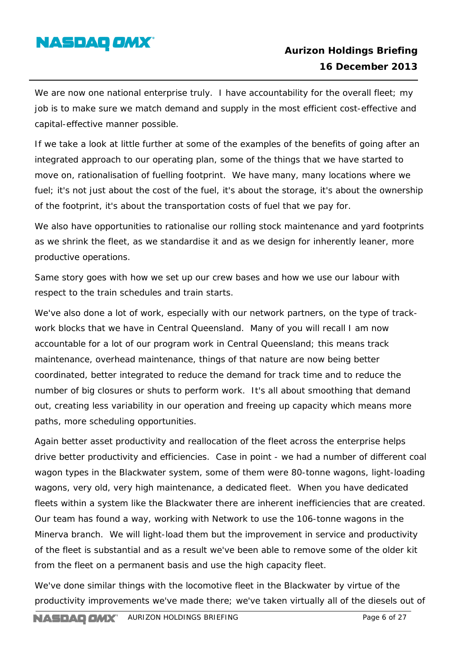

We are now one national enterprise truly. I have accountability for the overall fleet; my job is to make sure we match demand and supply in the most efficient cost-effective and capital-effective manner possible.

If we take a look at little further at some of the examples of the benefits of going after an integrated approach to our operating plan, some of the things that we have started to move on, rationalisation of fuelling footprint. We have many, many locations where we fuel; it's not just about the cost of the fuel, it's about the storage, it's about the ownership of the footprint, it's about the transportation costs of fuel that we pay for.

We also have opportunities to rationalise our rolling stock maintenance and yard footprints as we shrink the fleet, as we standardise it and as we design for inherently leaner, more productive operations.

Same story goes with how we set up our crew bases and how we use our labour with respect to the train schedules and train starts.

We've also done a lot of work, especially with our network partners, on the type of trackwork blocks that we have in Central Queensland. Many of you will recall I am now accountable for a lot of our program work in Central Queensland; this means track maintenance, overhead maintenance, things of that nature are now being better coordinated, better integrated to reduce the demand for track time and to reduce the number of big closures or shuts to perform work. It's all about smoothing that demand out, creating less variability in our operation and freeing up capacity which means more paths, more scheduling opportunities.

Again better asset productivity and reallocation of the fleet across the enterprise helps drive better productivity and efficiencies. Case in point - we had a number of different coal wagon types in the Blackwater system, some of them were 80-tonne wagons, light-loading wagons, very old, very high maintenance, a dedicated fleet. When you have dedicated fleets within a system like the Blackwater there are inherent inefficiencies that are created. Our team has found a way, working with Network to use the 106-tonne wagons in the Minerva branch. We will light-load them but the improvement in service and productivity of the fleet is substantial and as a result we've been able to remove some of the older kit from the fleet on a permanent basis and use the high capacity fleet.

We've done similar things with the locomotive fleet in the Blackwater by virtue of the productivity improvements we've made there; we've taken virtually all of the diesels out of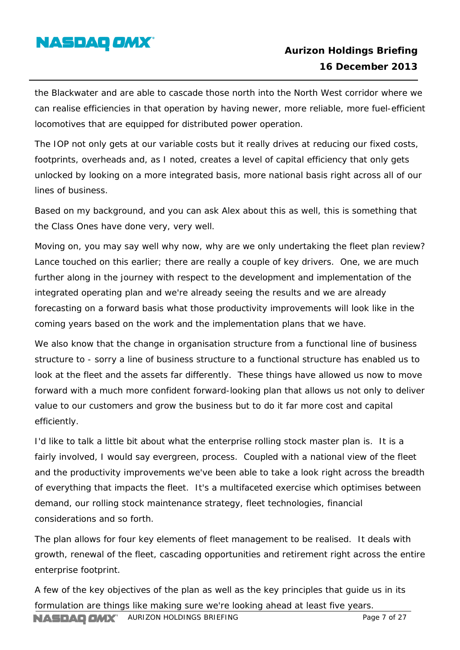

the Blackwater and are able to cascade those north into the North West corridor where we can realise efficiencies in that operation by having newer, more reliable, more fuel-efficient locomotives that are equipped for distributed power operation.

The IOP not only gets at our variable costs but it really drives at reducing our fixed costs, footprints, overheads and, as I noted, creates a level of capital efficiency that only gets unlocked by looking on a more integrated basis, more national basis right across all of our lines of business.

Based on my background, and you can ask Alex about this as well, this is something that the Class Ones have done very, very well.

Moving on, you may say well why now, why are we only undertaking the fleet plan review? Lance touched on this earlier; there are really a couple of key drivers. One, we are much further along in the journey with respect to the development and implementation of the integrated operating plan and we're already seeing the results and we are already forecasting on a forward basis what those productivity improvements will look like in the coming years based on the work and the implementation plans that we have.

We also know that the change in organisation structure from a functional line of business structure to - sorry a line of business structure to a functional structure has enabled us to look at the fleet and the assets far differently. These things have allowed us now to move forward with a much more confident forward-looking plan that allows us not only to deliver value to our customers and grow the business but to do it far more cost and capital efficiently.

I'd like to talk a little bit about what the enterprise rolling stock master plan is. It is a fairly involved, I would say evergreen, process. Coupled with a national view of the fleet and the productivity improvements we've been able to take a look right across the breadth of everything that impacts the fleet. It's a multifaceted exercise which optimises between demand, our rolling stock maintenance strategy, fleet technologies, financial considerations and so forth.

The plan allows for four key elements of fleet management to be realised. It deals with growth, renewal of the fleet, cascading opportunities and retirement right across the entire enterprise footprint.

A few of the key objectives of the plan as well as the key principles that guide us in its formulation are things like making sure we're looking ahead at least five years.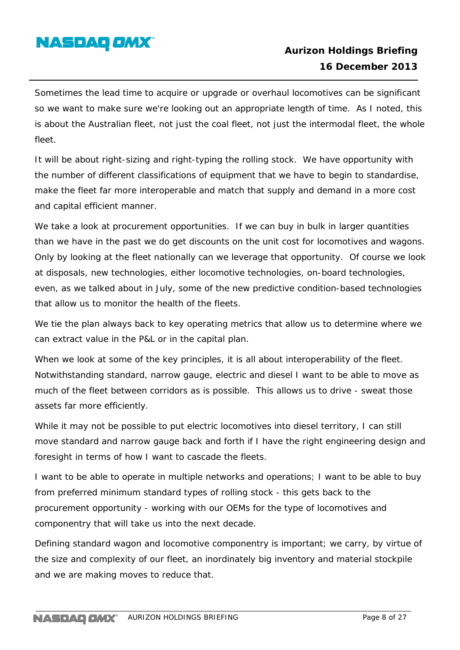

Sometimes the lead time to acquire or upgrade or overhaul locomotives can be significant so we want to make sure we're looking out an appropriate length of time. As I noted, this is about the Australian fleet, not just the coal fleet, not just the intermodal fleet, the whole fleet.

It will be about right-sizing and right-typing the rolling stock. We have opportunity with the number of different classifications of equipment that we have to begin to standardise, make the fleet far more interoperable and match that supply and demand in a more cost and capital efficient manner.

We take a look at procurement opportunities. If we can buy in bulk in larger quantities than we have in the past we do get discounts on the unit cost for locomotives and wagons. Only by looking at the fleet nationally can we leverage that opportunity. Of course we look at disposals, new technologies, either locomotive technologies, on-board technologies, even, as we talked about in July, some of the new predictive condition-based technologies that allow us to monitor the health of the fleets.

We tie the plan always back to key operating metrics that allow us to determine where we can extract value in the P&L or in the capital plan.

When we look at some of the key principles, it is all about interoperability of the fleet. Notwithstanding standard, narrow gauge, electric and diesel I want to be able to move as much of the fleet between corridors as is possible. This allows us to drive - sweat those assets far more efficiently.

While it may not be possible to put electric locomotives into diesel territory, I can still move standard and narrow gauge back and forth if I have the right engineering design and foresight in terms of how I want to cascade the fleets.

I want to be able to operate in multiple networks and operations; I want to be able to buy from preferred minimum standard types of rolling stock - this gets back to the procurement opportunity - working with our OEMs for the type of locomotives and componentry that will take us into the next decade.

Defining standard wagon and locomotive componentry is important; we carry, by virtue of the size and complexity of our fleet, an inordinately big inventory and material stockpile and we are making moves to reduce that.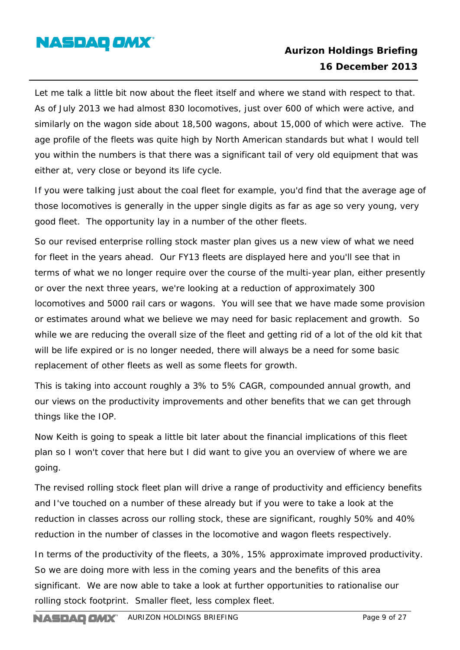

Let me talk a little bit now about the fleet itself and where we stand with respect to that. As of July 2013 we had almost 830 locomotives, just over 600 of which were active, and similarly on the wagon side about 18,500 wagons, about 15,000 of which were active. The age profile of the fleets was quite high by North American standards but what I would tell you within the numbers is that there was a significant tail of very old equipment that was either at, very close or beyond its life cycle.

If you were talking just about the coal fleet for example, you'd find that the average age of those locomotives is generally in the upper single digits as far as age so very young, very good fleet. The opportunity lay in a number of the other fleets.

So our revised enterprise rolling stock master plan gives us a new view of what we need for fleet in the years ahead. Our FY13 fleets are displayed here and you'll see that in terms of what we no longer require over the course of the multi-year plan, either presently or over the next three years, we're looking at a reduction of approximately 300 locomotives and 5000 rail cars or wagons. You will see that we have made some provision or estimates around what we believe we may need for basic replacement and growth. So while we are reducing the overall size of the fleet and getting rid of a lot of the old kit that will be life expired or is no longer needed, there will always be a need for some basic replacement of other fleets as well as some fleets for growth.

This is taking into account roughly a 3% to 5% CAGR, compounded annual growth, and our views on the productivity improvements and other benefits that we can get through things like the IOP.

Now Keith is going to speak a little bit later about the financial implications of this fleet plan so I won't cover that here but I did want to give you an overview of where we are going.

The revised rolling stock fleet plan will drive a range of productivity and efficiency benefits and I've touched on a number of these already but if you were to take a look at the reduction in classes across our rolling stock, these are significant, roughly 50% and 40% reduction in the number of classes in the locomotive and wagon fleets respectively.

In terms of the productivity of the fleets, a 30%, 15% approximate improved productivity. So we are doing more with less in the coming years and the benefits of this area significant. We are now able to take a look at further opportunities to rationalise our rolling stock footprint. Smaller fleet, less complex fleet.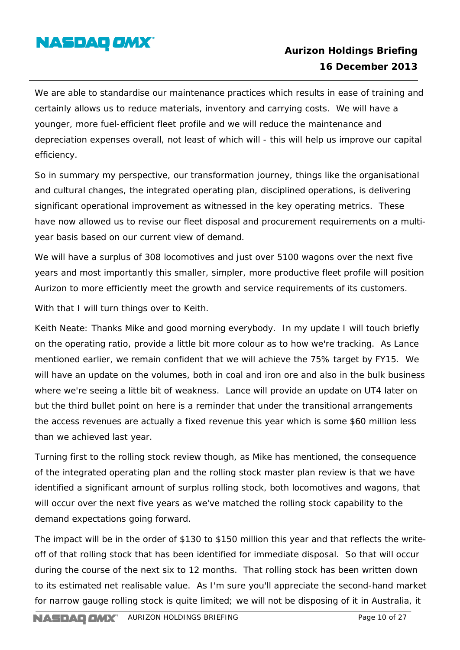

We are able to standardise our maintenance practices which results in ease of training and certainly allows us to reduce materials, inventory and carrying costs. We will have a younger, more fuel-efficient fleet profile and we will reduce the maintenance and depreciation expenses overall, not least of which will - this will help us improve our capital efficiency.

So in summary my perspective, our transformation journey, things like the organisational and cultural changes, the integrated operating plan, disciplined operations, is delivering significant operational improvement as witnessed in the key operating metrics. These have now allowed us to revise our fleet disposal and procurement requirements on a multiyear basis based on our current view of demand.

We will have a surplus of 308 locomotives and just over 5100 wagons over the next five years and most importantly this smaller, simpler, more productive fleet profile will position Aurizon to more efficiently meet the growth and service requirements of its customers.

With that I will turn things over to Keith.

Keith Neate: Thanks Mike and good morning everybody. In my update I will touch briefly on the operating ratio, provide a little bit more colour as to how we're tracking. As Lance mentioned earlier, we remain confident that we will achieve the 75% target by FY15. We will have an update on the volumes, both in coal and iron ore and also in the bulk business where we're seeing a little bit of weakness. Lance will provide an update on UT4 later on but the third bullet point on here is a reminder that under the transitional arrangements the access revenues are actually a fixed revenue this year which is some \$60 million less than we achieved last year.

Turning first to the rolling stock review though, as Mike has mentioned, the consequence of the integrated operating plan and the rolling stock master plan review is that we have identified a significant amount of surplus rolling stock, both locomotives and wagons, that will occur over the next five years as we've matched the rolling stock capability to the demand expectations going forward.

The impact will be in the order of \$130 to \$150 million this year and that reflects the writeoff of that rolling stock that has been identified for immediate disposal. So that will occur during the course of the next six to 12 months. That rolling stock has been written down to its estimated net realisable value. As I'm sure you'll appreciate the second-hand market for narrow gauge rolling stock is quite limited; we will not be disposing of it in Australia, it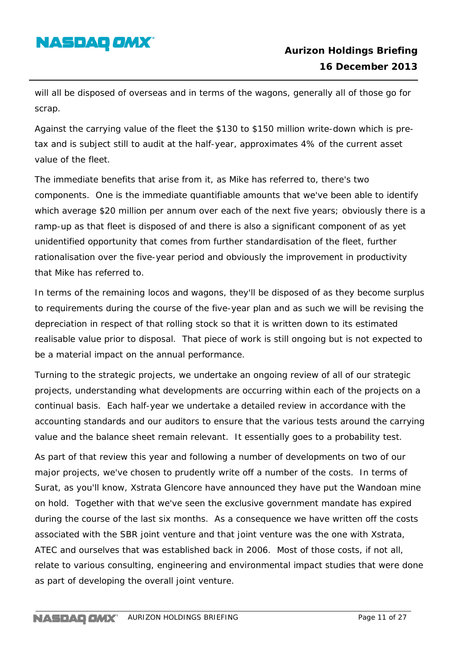# **NASDAQ OMX**

will all be disposed of overseas and in terms of the wagons, generally all of those go for scrap.

Against the carrying value of the fleet the \$130 to \$150 million write-down which is pretax and is subject still to audit at the half-year, approximates 4% of the current asset value of the fleet.

The immediate benefits that arise from it, as Mike has referred to, there's two components. One is the immediate quantifiable amounts that we've been able to identify which average \$20 million per annum over each of the next five years; obviously there is a ramp-up as that fleet is disposed of and there is also a significant component of as yet unidentified opportunity that comes from further standardisation of the fleet, further rationalisation over the five-year period and obviously the improvement in productivity that Mike has referred to.

In terms of the remaining locos and wagons, they'll be disposed of as they become surplus to requirements during the course of the five-year plan and as such we will be revising the depreciation in respect of that rolling stock so that it is written down to its estimated realisable value prior to disposal. That piece of work is still ongoing but is not expected to be a material impact on the annual performance.

Turning to the strategic projects, we undertake an ongoing review of all of our strategic projects, understanding what developments are occurring within each of the projects on a continual basis. Each half-year we undertake a detailed review in accordance with the accounting standards and our auditors to ensure that the various tests around the carrying value and the balance sheet remain relevant. It essentially goes to a probability test.

As part of that review this year and following a number of developments on two of our major projects, we've chosen to prudently write off a number of the costs. In terms of Surat, as you'll know, Xstrata Glencore have announced they have put the Wandoan mine on hold. Together with that we've seen the exclusive government mandate has expired during the course of the last six months. As a consequence we have written off the costs associated with the SBR joint venture and that joint venture was the one with Xstrata, ATEC and ourselves that was established back in 2006. Most of those costs, if not all, relate to various consulting, engineering and environmental impact studies that were done as part of developing the overall joint venture.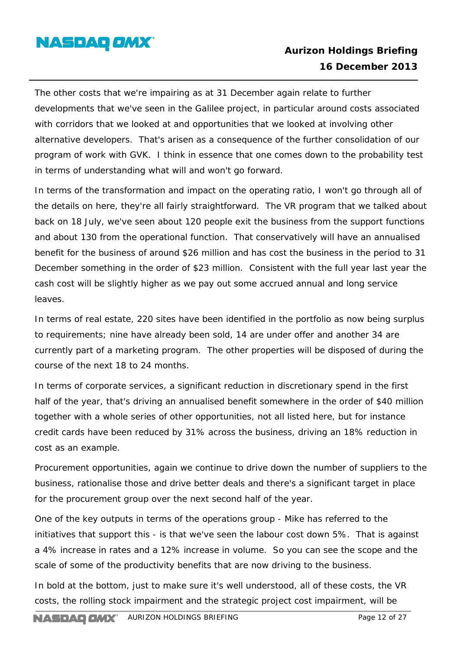

The other costs that we're impairing as at 31 December again relate to further developments that we've seen in the Galilee project, in particular around costs associated with corridors that we looked at and opportunities that we looked at involving other alternative developers. That's arisen as a consequence of the further consolidation of our program of work with GVK. I think in essence that one comes down to the probability test in terms of understanding what will and won't go forward.

In terms of the transformation and impact on the operating ratio, I won't go through all of the details on here, they're all fairly straightforward. The VR program that we talked about back on 18 July, we've seen about 120 people exit the business from the support functions and about 130 from the operational function. That conservatively will have an annualised benefit for the business of around \$26 million and has cost the business in the period to 31 December something in the order of \$23 million. Consistent with the full year last year the cash cost will be slightly higher as we pay out some accrued annual and long service leaves.

In terms of real estate, 220 sites have been identified in the portfolio as now being surplus to requirements; nine have already been sold, 14 are under offer and another 34 are currently part of a marketing program. The other properties will be disposed of during the course of the next 18 to 24 months.

In terms of corporate services, a significant reduction in discretionary spend in the first half of the year, that's driving an annualised benefit somewhere in the order of \$40 million together with a whole series of other opportunities, not all listed here, but for instance credit cards have been reduced by 31% across the business, driving an 18% reduction in cost as an example.

Procurement opportunities, again we continue to drive down the number of suppliers to the business, rationalise those and drive better deals and there's a significant target in place for the procurement group over the next second half of the year.

One of the key outputs in terms of the operations group - Mike has referred to the initiatives that support this - is that we've seen the labour cost down 5%. That is against a 4% increase in rates and a 12% increase in volume. So you can see the scope and the scale of some of the productivity benefits that are now driving to the business.

In bold at the bottom, just to make sure it's well understood, all of these costs, the VR costs, the rolling stock impairment and the strategic project cost impairment, will be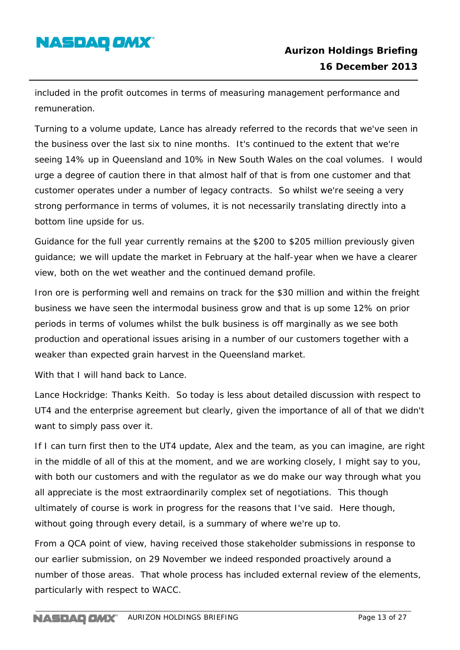# **NASDAQ OMX**

included in the profit outcomes in terms of measuring management performance and remuneration.

Turning to a volume update, Lance has already referred to the records that we've seen in the business over the last six to nine months. It's continued to the extent that we're seeing 14% up in Queensland and 10% in New South Wales on the coal volumes. I would urge a degree of caution there in that almost half of that is from one customer and that customer operates under a number of legacy contracts. So whilst we're seeing a very strong performance in terms of volumes, it is not necessarily translating directly into a bottom line upside for us.

Guidance for the full year currently remains at the \$200 to \$205 million previously given guidance; we will update the market in February at the half-year when we have a clearer view, both on the wet weather and the continued demand profile.

Iron ore is performing well and remains on track for the \$30 million and within the freight business we have seen the intermodal business grow and that is up some 12% on prior periods in terms of volumes whilst the bulk business is off marginally as we see both production and operational issues arising in a number of our customers together with a weaker than expected grain harvest in the Queensland market.

With that I will hand back to Lance.

Lance Hockridge: Thanks Keith. So today is less about detailed discussion with respect to UT4 and the enterprise agreement but clearly, given the importance of all of that we didn't want to simply pass over it.

If I can turn first then to the UT4 update, Alex and the team, as you can imagine, are right in the middle of all of this at the moment, and we are working closely, I might say to you, with both our customers and with the regulator as we do make our way through what you all appreciate is the most extraordinarily complex set of negotiations. This though ultimately of course is work in progress for the reasons that I've said. Here though, without going through every detail, is a summary of where we're up to.

From a QCA point of view, having received those stakeholder submissions in response to our earlier submission, on 29 November we indeed responded proactively around a number of those areas. That whole process has included external review of the elements, particularly with respect to WACC.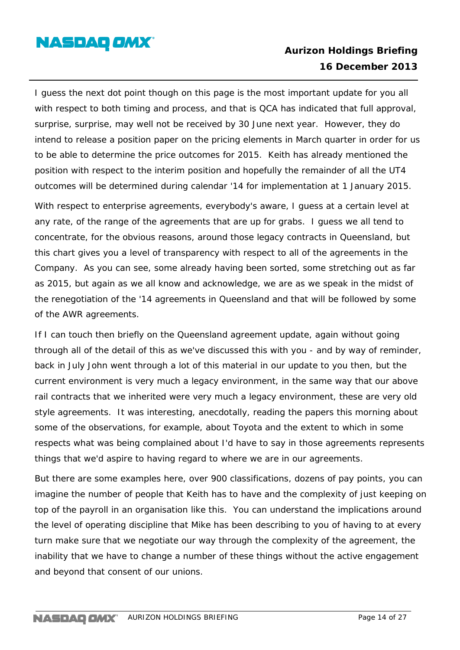### **NASDAQ OMX**

### **Aurizon Holdings Briefing 16 December 2013**

I guess the next dot point though on this page is the most important update for you all with respect to both timing and process, and that is QCA has indicated that full approval, surprise, surprise, may well not be received by 30 June next year. However, they do intend to release a position paper on the pricing elements in March quarter in order for us to be able to determine the price outcomes for 2015. Keith has already mentioned the position with respect to the interim position and hopefully the remainder of all the UT4 outcomes will be determined during calendar '14 for implementation at 1 January 2015.

With respect to enterprise agreements, everybody's aware, I guess at a certain level at any rate, of the range of the agreements that are up for grabs. I guess we all tend to concentrate, for the obvious reasons, around those legacy contracts in Queensland, but this chart gives you a level of transparency with respect to all of the agreements in the Company. As you can see, some already having been sorted, some stretching out as far as 2015, but again as we all know and acknowledge, we are as we speak in the midst of the renegotiation of the '14 agreements in Queensland and that will be followed by some of the AWR agreements.

If I can touch then briefly on the Queensland agreement update, again without going through all of the detail of this as we've discussed this with you - and by way of reminder, back in July John went through a lot of this material in our update to you then, but the current environment is very much a legacy environment, in the same way that our above rail contracts that we inherited were very much a legacy environment, these are very old style agreements. It was interesting, anecdotally, reading the papers this morning about some of the observations, for example, about Toyota and the extent to which in some respects what was being complained about I'd have to say in those agreements represents things that we'd aspire to having regard to where we are in our agreements.

But there are some examples here, over 900 classifications, dozens of pay points, you can imagine the number of people that Keith has to have and the complexity of just keeping on top of the payroll in an organisation like this. You can understand the implications around the level of operating discipline that Mike has been describing to you of having to at every turn make sure that we negotiate our way through the complexity of the agreement, the inability that we have to change a number of these things without the active engagement and beyond that consent of our unions.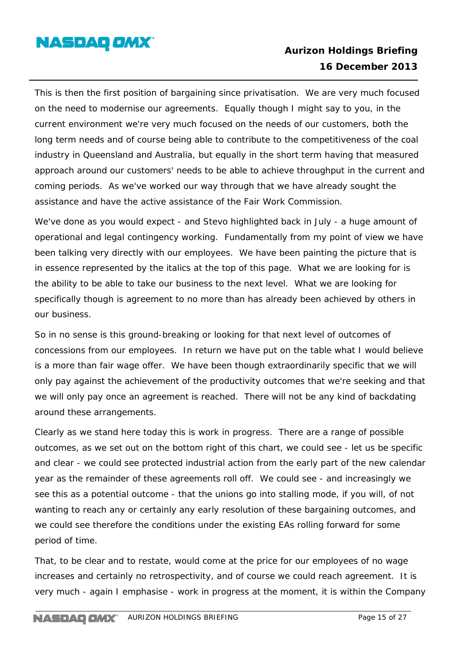

This is then the first position of bargaining since privatisation. We are very much focused on the need to modernise our agreements. Equally though I might say to you, in the current environment we're very much focused on the needs of our customers, both the long term needs and of course being able to contribute to the competitiveness of the coal industry in Queensland and Australia, but equally in the short term having that measured approach around our customers' needs to be able to achieve throughput in the current and coming periods. As we've worked our way through that we have already sought the assistance and have the active assistance of the Fair Work Commission.

We've done as you would expect - and Stevo highlighted back in July - a huge amount of operational and legal contingency working. Fundamentally from my point of view we have been talking very directly with our employees. We have been painting the picture that is in essence represented by the italics at the top of this page. What we are looking for is the ability to be able to take our business to the next level. What we are looking for specifically though is agreement to no more than has already been achieved by others in our business.

So in no sense is this ground-breaking or looking for that next level of outcomes of concessions from our employees. In return we have put on the table what I would believe is a more than fair wage offer. We have been though extraordinarily specific that we will only pay against the achievement of the productivity outcomes that we're seeking and that we will only pay once an agreement is reached. There will not be any kind of backdating around these arrangements.

Clearly as we stand here today this is work in progress. There are a range of possible outcomes, as we set out on the bottom right of this chart, we could see - let us be specific and clear - we could see protected industrial action from the early part of the new calendar year as the remainder of these agreements roll off. We could see - and increasingly we see this as a potential outcome - that the unions go into stalling mode, if you will, of not wanting to reach any or certainly any early resolution of these bargaining outcomes, and we could see therefore the conditions under the existing EAs rolling forward for some period of time.

That, to be clear and to restate, would come at the price for our employees of no wage increases and certainly no retrospectivity, and of course we could reach agreement. It is very much - again I emphasise - work in progress at the moment, it is within the Company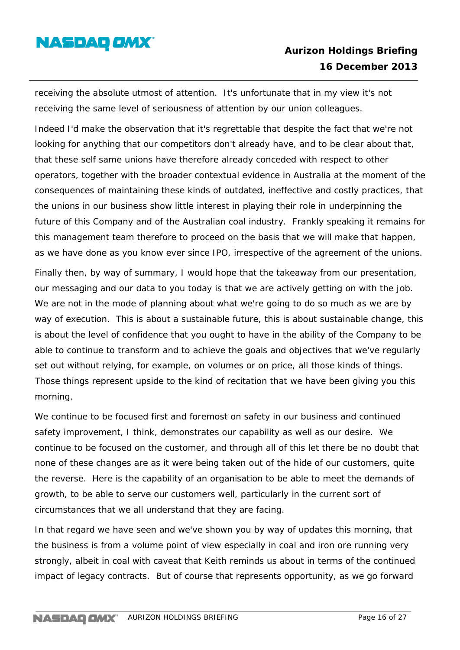

receiving the absolute utmost of attention. It's unfortunate that in my view it's not receiving the same level of seriousness of attention by our union colleagues.

Indeed I'd make the observation that it's regrettable that despite the fact that we're not looking for anything that our competitors don't already have, and to be clear about that, that these self same unions have therefore already conceded with respect to other operators, together with the broader contextual evidence in Australia at the moment of the consequences of maintaining these kinds of outdated, ineffective and costly practices, that the unions in our business show little interest in playing their role in underpinning the future of this Company and of the Australian coal industry. Frankly speaking it remains for this management team therefore to proceed on the basis that we will make that happen, as we have done as you know ever since IPO, irrespective of the agreement of the unions.

Finally then, by way of summary, I would hope that the takeaway from our presentation, our messaging and our data to you today is that we are actively getting on with the job. We are not in the mode of planning about what we're going to do so much as we are by way of execution. This is about a sustainable future, this is about sustainable change, this is about the level of confidence that you ought to have in the ability of the Company to be able to continue to transform and to achieve the goals and objectives that we've regularly set out without relying, for example, on volumes or on price, all those kinds of things. Those things represent upside to the kind of recitation that we have been giving you this morning.

We continue to be focused first and foremost on safety in our business and continued safety improvement, I think, demonstrates our capability as well as our desire. We continue to be focused on the customer, and through all of this let there be no doubt that none of these changes are as it were being taken out of the hide of our customers, quite the reverse. Here is the capability of an organisation to be able to meet the demands of growth, to be able to serve our customers well, particularly in the current sort of circumstances that we all understand that they are facing.

In that regard we have seen and we've shown you by way of updates this morning, that the business is from a volume point of view especially in coal and iron ore running very strongly, albeit in coal with caveat that Keith reminds us about in terms of the continued impact of legacy contracts. But of course that represents opportunity, as we go forward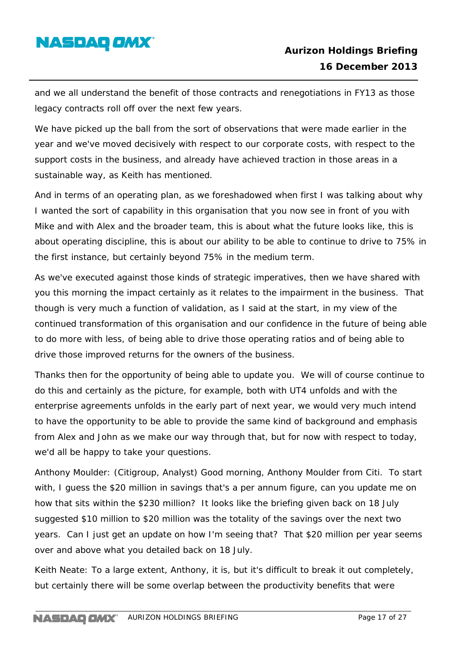

and we all understand the benefit of those contracts and renegotiations in FY13 as those legacy contracts roll off over the next few years.

We have picked up the ball from the sort of observations that were made earlier in the year and we've moved decisively with respect to our corporate costs, with respect to the support costs in the business, and already have achieved traction in those areas in a sustainable way, as Keith has mentioned.

And in terms of an operating plan, as we foreshadowed when first I was talking about why I wanted the sort of capability in this organisation that you now see in front of you with Mike and with Alex and the broader team, this is about what the future looks like, this is about operating discipline, this is about our ability to be able to continue to drive to 75% in the first instance, but certainly beyond 75% in the medium term.

As we've executed against those kinds of strategic imperatives, then we have shared with you this morning the impact certainly as it relates to the impairment in the business. That though is very much a function of validation, as I said at the start, in my view of the continued transformation of this organisation and our confidence in the future of being able to do more with less, of being able to drive those operating ratios and of being able to drive those improved returns for the owners of the business.

Thanks then for the opportunity of being able to update you. We will of course continue to do this and certainly as the picture, for example, both with UT4 unfolds and with the enterprise agreements unfolds in the early part of next year, we would very much intend to have the opportunity to be able to provide the same kind of background and emphasis from Alex and John as we make our way through that, but for now with respect to today, we'd all be happy to take your questions.

Anthony Moulder: (Citigroup, Analyst) Good morning, Anthony Moulder from Citi. To start with, I guess the \$20 million in savings that's a per annum figure, can you update me on how that sits within the \$230 million? It looks like the briefing given back on 18 July suggested \$10 million to \$20 million was the totality of the savings over the next two years. Can I just get an update on how I'm seeing that? That \$20 million per year seems over and above what you detailed back on 18 July.

Keith Neate: To a large extent, Anthony, it is, but it's difficult to break it out completely, but certainly there will be some overlap between the productivity benefits that were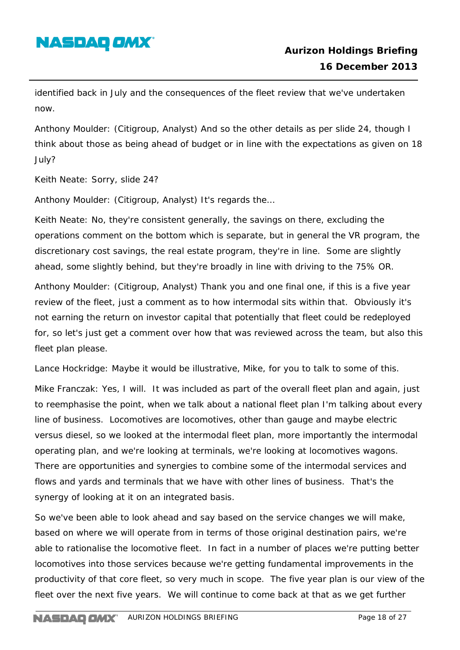

identified back in July and the consequences of the fleet review that we've undertaken now.

Anthony Moulder: (Citigroup, Analyst) And so the other details as per slide 24, though I think about those as being ahead of budget or in line with the expectations as given on 18 July?

Keith Neate: Sorry, slide 24?

Anthony Moulder: (Citigroup, Analyst) It's regards the…

Keith Neate: No, they're consistent generally, the savings on there, excluding the operations comment on the bottom which is separate, but in general the VR program, the discretionary cost savings, the real estate program, they're in line. Some are slightly ahead, some slightly behind, but they're broadly in line with driving to the 75% OR.

Anthony Moulder: (Citigroup, Analyst) Thank you and one final one, if this is a five year review of the fleet, just a comment as to how intermodal sits within that. Obviously it's not earning the return on investor capital that potentially that fleet could be redeployed for, so let's just get a comment over how that was reviewed across the team, but also this fleet plan please.

Lance Hockridge: Maybe it would be illustrative, Mike, for you to talk to some of this.

Mike Franczak: Yes, I will. It was included as part of the overall fleet plan and again, just to reemphasise the point, when we talk about a national fleet plan I'm talking about every line of business. Locomotives are locomotives, other than gauge and maybe electric versus diesel, so we looked at the intermodal fleet plan, more importantly the intermodal operating plan, and we're looking at terminals, we're looking at locomotives wagons. There are opportunities and synergies to combine some of the intermodal services and flows and yards and terminals that we have with other lines of business. That's the synergy of looking at it on an integrated basis.

So we've been able to look ahead and say based on the service changes we will make, based on where we will operate from in terms of those original destination pairs, we're able to rationalise the locomotive fleet. In fact in a number of places we're putting better locomotives into those services because we're getting fundamental improvements in the productivity of that core fleet, so very much in scope. The five year plan is our view of the fleet over the next five years. We will continue to come back at that as we get further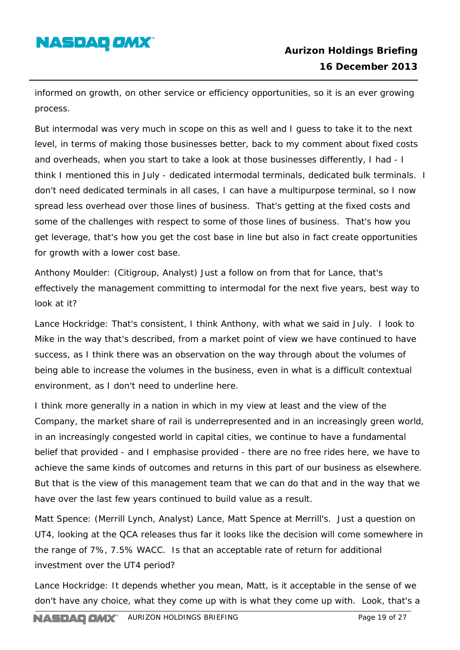# **NASDAQ OMX**

informed on growth, on other service or efficiency opportunities, so it is an ever growing process.

But intermodal was very much in scope on this as well and I guess to take it to the next level, in terms of making those businesses better, back to my comment about fixed costs and overheads, when you start to take a look at those businesses differently, I had - I think I mentioned this in July - dedicated intermodal terminals, dedicated bulk terminals. I don't need dedicated terminals in all cases, I can have a multipurpose terminal, so I now spread less overhead over those lines of business. That's getting at the fixed costs and some of the challenges with respect to some of those lines of business. That's how you get leverage, that's how you get the cost base in line but also in fact create opportunities for growth with a lower cost base.

Anthony Moulder: (Citigroup, Analyst) Just a follow on from that for Lance, that's effectively the management committing to intermodal for the next five years, best way to look at it?

Lance Hockridge: That's consistent, I think Anthony, with what we said in July. I look to Mike in the way that's described, from a market point of view we have continued to have success, as I think there was an observation on the way through about the volumes of being able to increase the volumes in the business, even in what is a difficult contextual environment, as I don't need to underline here.

I think more generally in a nation in which in my view at least and the view of the Company, the market share of rail is underrepresented and in an increasingly green world, in an increasingly congested world in capital cities, we continue to have a fundamental belief that provided - and I emphasise provided - there are no free rides here, we have to achieve the same kinds of outcomes and returns in this part of our business as elsewhere. But that is the view of this management team that we can do that and in the way that we have over the last few years continued to build value as a result.

Matt Spence: (Merrill Lynch, Analyst) Lance, Matt Spence at Merrill's. Just a question on UT4, looking at the QCA releases thus far it looks like the decision will come somewhere in the range of 7%, 7.5% WACC. Is that an acceptable rate of return for additional investment over the UT4 period?

Lance Hockridge: It depends whether you mean, Matt, is it acceptable in the sense of we don't have any choice, what they come up with is what they come up with. Look, that's a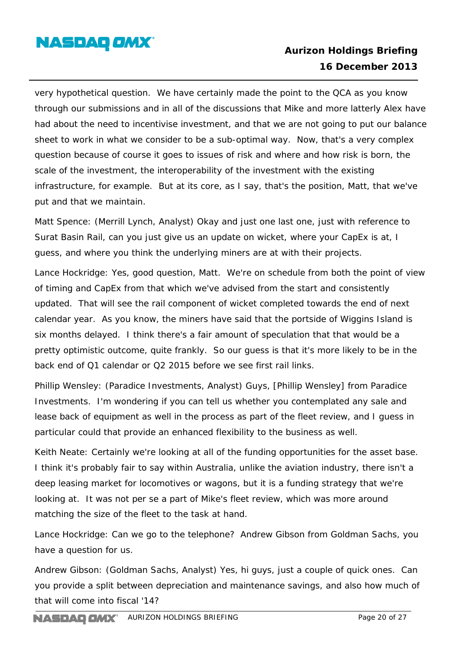

very hypothetical question. We have certainly made the point to the QCA as you know through our submissions and in all of the discussions that Mike and more latterly Alex have had about the need to incentivise investment, and that we are not going to put our balance sheet to work in what we consider to be a sub-optimal way. Now, that's a very complex question because of course it goes to issues of risk and where and how risk is born, the scale of the investment, the interoperability of the investment with the existing infrastructure, for example. But at its core, as I say, that's the position, Matt, that we've put and that we maintain.

Matt Spence: (Merrill Lynch, Analyst) Okay and just one last one, just with reference to Surat Basin Rail, can you just give us an update on wicket, where your CapEx is at, I guess, and where you think the underlying miners are at with their projects.

Lance Hockridge: Yes, good question, Matt. We're on schedule from both the point of view of timing and CapEx from that which we've advised from the start and consistently updated. That will see the rail component of wicket completed towards the end of next calendar year. As you know, the miners have said that the portside of Wiggins Island is six months delayed. I think there's a fair amount of speculation that that would be a pretty optimistic outcome, quite frankly. So our guess is that it's more likely to be in the back end of Q1 calendar or Q2 2015 before we see first rail links.

Phillip Wensley: (Paradice Investments, Analyst) Guys, [Phillip Wensley] from Paradice Investments. I'm wondering if you can tell us whether you contemplated any sale and lease back of equipment as well in the process as part of the fleet review, and I guess in particular could that provide an enhanced flexibility to the business as well.

Keith Neate: Certainly we're looking at all of the funding opportunities for the asset base. I think it's probably fair to say within Australia, unlike the aviation industry, there isn't a deep leasing market for locomotives or wagons, but it is a funding strategy that we're looking at. It was not per se a part of Mike's fleet review, which was more around matching the size of the fleet to the task at hand.

Lance Hockridge: Can we go to the telephone? Andrew Gibson from Goldman Sachs, you have a question for us.

Andrew Gibson: (Goldman Sachs, Analyst) Yes, hi guys, just a couple of quick ones. Can you provide a split between depreciation and maintenance savings, and also how much of that will come into fiscal '14?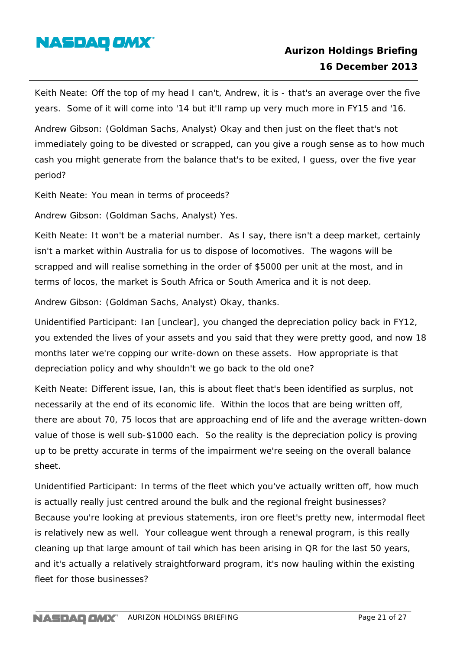

Keith Neate: Off the top of my head I can't, Andrew, it is - that's an average over the five years. Some of it will come into '14 but it'll ramp up very much more in FY15 and '16.

Andrew Gibson: (Goldman Sachs, Analyst) Okay and then just on the fleet that's not immediately going to be divested or scrapped, can you give a rough sense as to how much cash you might generate from the balance that's to be exited, I guess, over the five year period?

Keith Neate: You mean in terms of proceeds?

Andrew Gibson: (Goldman Sachs, Analyst) Yes.

Keith Neate: It won't be a material number. As I say, there isn't a deep market, certainly isn't a market within Australia for us to dispose of locomotives. The wagons will be scrapped and will realise something in the order of \$5000 per unit at the most, and in terms of locos, the market is South Africa or South America and it is not deep.

Andrew Gibson: (Goldman Sachs, Analyst) Okay, thanks.

Unidentified Participant: Ian [unclear], you changed the depreciation policy back in FY12, you extended the lives of your assets and you said that they were pretty good, and now 18 months later we're copping our write-down on these assets. How appropriate is that depreciation policy and why shouldn't we go back to the old one?

Keith Neate: Different issue, Ian, this is about fleet that's been identified as surplus, not necessarily at the end of its economic life. Within the locos that are being written off, there are about 70, 75 locos that are approaching end of life and the average written-down value of those is well sub-\$1000 each. So the reality is the depreciation policy is proving up to be pretty accurate in terms of the impairment we're seeing on the overall balance sheet.

Unidentified Participant: In terms of the fleet which you've actually written off, how much is actually really just centred around the bulk and the regional freight businesses? Because you're looking at previous statements, iron ore fleet's pretty new, intermodal fleet is relatively new as well. Your colleague went through a renewal program, is this really cleaning up that large amount of tail which has been arising in QR for the last 50 years, and it's actually a relatively straightforward program, it's now hauling within the existing fleet for those businesses?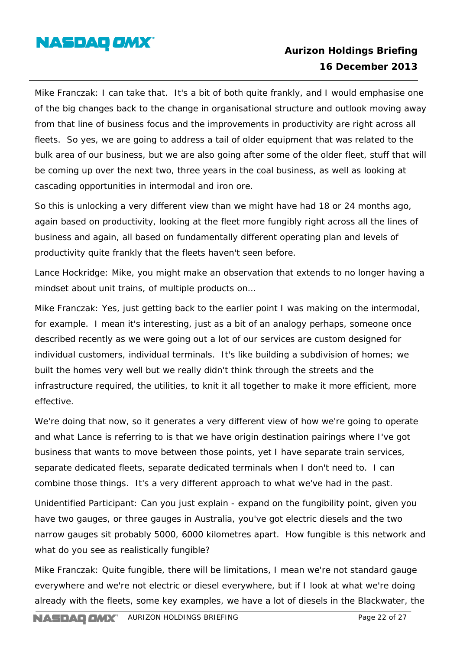

Mike Franczak: I can take that. It's a bit of both quite frankly, and I would emphasise one of the big changes back to the change in organisational structure and outlook moving away from that line of business focus and the improvements in productivity are right across all fleets. So yes, we are going to address a tail of older equipment that was related to the bulk area of our business, but we are also going after some of the older fleet, stuff that will be coming up over the next two, three years in the coal business, as well as looking at cascading opportunities in intermodal and iron ore.

So this is unlocking a very different view than we might have had 18 or 24 months ago, again based on productivity, looking at the fleet more fungibly right across all the lines of business and again, all based on fundamentally different operating plan and levels of productivity quite frankly that the fleets haven't seen before.

Lance Hockridge: Mike, you might make an observation that extends to no longer having a mindset about unit trains, of multiple products on…

Mike Franczak: Yes, just getting back to the earlier point I was making on the intermodal, for example. I mean it's interesting, just as a bit of an analogy perhaps, someone once described recently as we were going out a lot of our services are custom designed for individual customers, individual terminals. It's like building a subdivision of homes; we built the homes very well but we really didn't think through the streets and the infrastructure required, the utilities, to knit it all together to make it more efficient, more effective.

We're doing that now, so it generates a very different view of how we're going to operate and what Lance is referring to is that we have origin destination pairings where I've got business that wants to move between those points, yet I have separate train services, separate dedicated fleets, separate dedicated terminals when I don't need to. I can combine those things. It's a very different approach to what we've had in the past.

Unidentified Participant: Can you just explain - expand on the fungibility point, given you have two gauges, or three gauges in Australia, you've got electric diesels and the two narrow gauges sit probably 5000, 6000 kilometres apart. How fungible is this network and what do you see as realistically fungible?

Mike Franczak: Quite fungible, there will be limitations, I mean we're not standard gauge everywhere and we're not electric or diesel everywhere, but if I look at what we're doing already with the fleets, some key examples, we have a lot of diesels in the Blackwater, the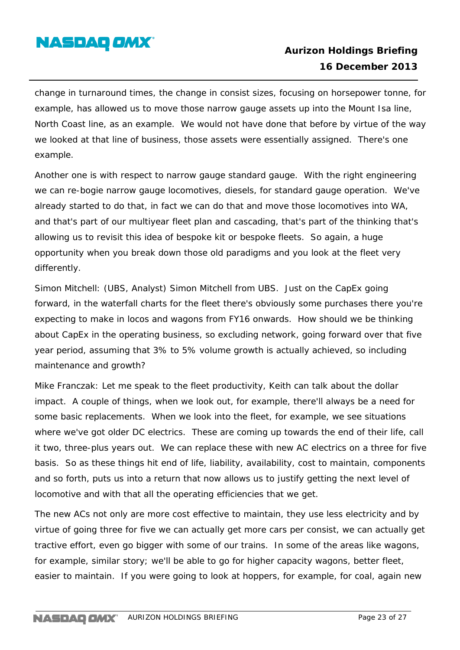

change in turnaround times, the change in consist sizes, focusing on horsepower tonne, for example, has allowed us to move those narrow gauge assets up into the Mount Isa line, North Coast line, as an example. We would not have done that before by virtue of the way we looked at that line of business, those assets were essentially assigned. There's one example.

Another one is with respect to narrow gauge standard gauge. With the right engineering we can re-bogie narrow gauge locomotives, diesels, for standard gauge operation. We've already started to do that, in fact we can do that and move those locomotives into WA, and that's part of our multiyear fleet plan and cascading, that's part of the thinking that's allowing us to revisit this idea of bespoke kit or bespoke fleets. So again, a huge opportunity when you break down those old paradigms and you look at the fleet very differently.

Simon Mitchell: (UBS, Analyst) Simon Mitchell from UBS. Just on the CapEx going forward, in the waterfall charts for the fleet there's obviously some purchases there you're expecting to make in locos and wagons from FY16 onwards. How should we be thinking about CapEx in the operating business, so excluding network, going forward over that five year period, assuming that 3% to 5% volume growth is actually achieved, so including maintenance and growth?

Mike Franczak: Let me speak to the fleet productivity, Keith can talk about the dollar impact. A couple of things, when we look out, for example, there'll always be a need for some basic replacements. When we look into the fleet, for example, we see situations where we've got older DC electrics. These are coming up towards the end of their life, call it two, three-plus years out. We can replace these with new AC electrics on a three for five basis. So as these things hit end of life, liability, availability, cost to maintain, components and so forth, puts us into a return that now allows us to justify getting the next level of locomotive and with that all the operating efficiencies that we get.

The new ACs not only are more cost effective to maintain, they use less electricity and by virtue of going three for five we can actually get more cars per consist, we can actually get tractive effort, even go bigger with some of our trains. In some of the areas like wagons, for example, similar story; we'll be able to go for higher capacity wagons, better fleet, easier to maintain. If you were going to look at hoppers, for example, for coal, again new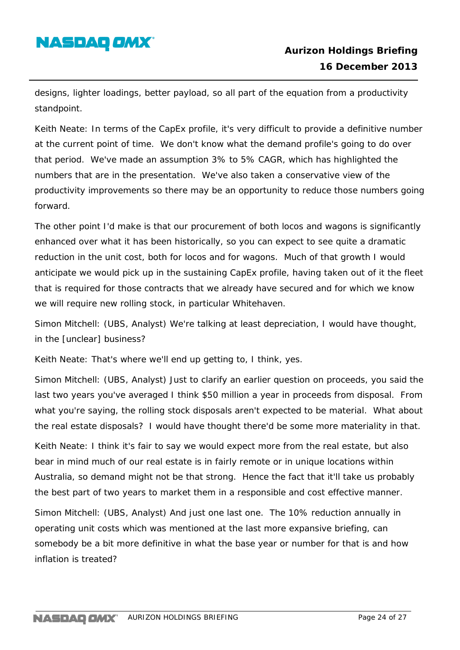# **NASDAQ OMX**

designs, lighter loadings, better payload, so all part of the equation from a productivity standpoint.

Keith Neate: In terms of the CapEx profile, it's very difficult to provide a definitive number at the current point of time. We don't know what the demand profile's going to do over that period. We've made an assumption 3% to 5% CAGR, which has highlighted the numbers that are in the presentation. We've also taken a conservative view of the productivity improvements so there may be an opportunity to reduce those numbers going forward.

The other point I'd make is that our procurement of both locos and wagons is significantly enhanced over what it has been historically, so you can expect to see quite a dramatic reduction in the unit cost, both for locos and for wagons. Much of that growth I would anticipate we would pick up in the sustaining CapEx profile, having taken out of it the fleet that is required for those contracts that we already have secured and for which we know we will require new rolling stock, in particular Whitehaven.

Simon Mitchell: (UBS, Analyst) We're talking at least depreciation, I would have thought, in the [unclear] business?

Keith Neate: That's where we'll end up getting to, I think, yes.

Simon Mitchell: (UBS, Analyst) Just to clarify an earlier question on proceeds, you said the last two years you've averaged I think \$50 million a year in proceeds from disposal. From what you're saying, the rolling stock disposals aren't expected to be material. What about the real estate disposals? I would have thought there'd be some more materiality in that.

Keith Neate: I think it's fair to say we would expect more from the real estate, but also bear in mind much of our real estate is in fairly remote or in unique locations within Australia, so demand might not be that strong. Hence the fact that it'll take us probably the best part of two years to market them in a responsible and cost effective manner.

Simon Mitchell: (UBS, Analyst) And just one last one. The 10% reduction annually in operating unit costs which was mentioned at the last more expansive briefing, can somebody be a bit more definitive in what the base year or number for that is and how inflation is treated?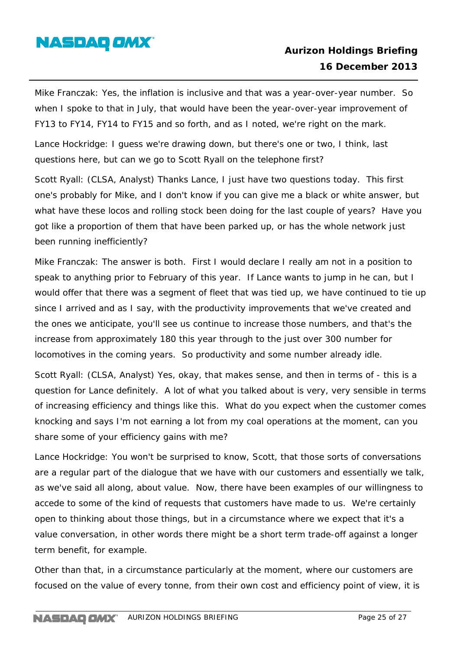

Mike Franczak: Yes, the inflation is inclusive and that was a year-over-year number. So when I spoke to that in July, that would have been the year-over-year improvement of FY13 to FY14, FY14 to FY15 and so forth, and as I noted, we're right on the mark.

Lance Hockridge: I guess we're drawing down, but there's one or two, I think, last questions here, but can we go to Scott Ryall on the telephone first?

Scott Ryall: (CLSA, Analyst) Thanks Lance, I just have two questions today. This first one's probably for Mike, and I don't know if you can give me a black or white answer, but what have these locos and rolling stock been doing for the last couple of years? Have you got like a proportion of them that have been parked up, or has the whole network just been running inefficiently?

Mike Franczak: The answer is both. First I would declare I really am not in a position to speak to anything prior to February of this year. If Lance wants to jump in he can, but I would offer that there was a segment of fleet that was tied up, we have continued to tie up since I arrived and as I say, with the productivity improvements that we've created and the ones we anticipate, you'll see us continue to increase those numbers, and that's the increase from approximately 180 this year through to the just over 300 number for locomotives in the coming years. So productivity and some number already idle.

Scott Ryall: (CLSA, Analyst) Yes, okay, that makes sense, and then in terms of - this is a question for Lance definitely. A lot of what you talked about is very, very sensible in terms of increasing efficiency and things like this. What do you expect when the customer comes knocking and says I'm not earning a lot from my coal operations at the moment, can you share some of your efficiency gains with me?

Lance Hockridge: You won't be surprised to know, Scott, that those sorts of conversations are a regular part of the dialogue that we have with our customers and essentially we talk, as we've said all along, about value. Now, there have been examples of our willingness to accede to some of the kind of requests that customers have made to us. We're certainly open to thinking about those things, but in a circumstance where we expect that it's a value conversation, in other words there might be a short term trade-off against a longer term benefit, for example.

Other than that, in a circumstance particularly at the moment, where our customers are focused on the value of every tonne, from their own cost and efficiency point of view, it is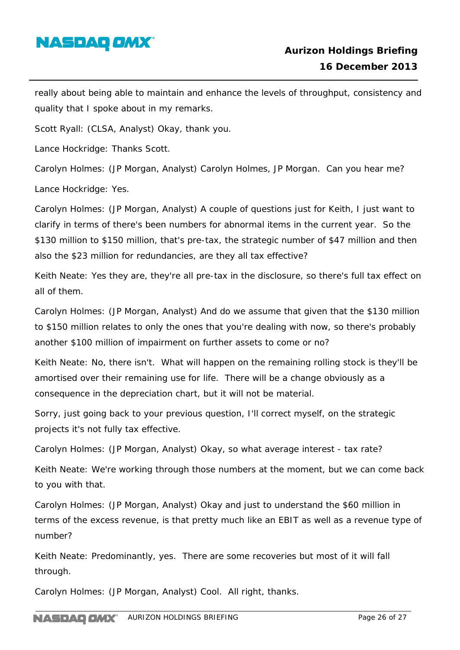

really about being able to maintain and enhance the levels of throughput, consistency and quality that I spoke about in my remarks.

Scott Ryall: (CLSA, Analyst) Okay, thank you.

Lance Hockridge: Thanks Scott.

Carolyn Holmes: (JP Morgan, Analyst) Carolyn Holmes, JP Morgan. Can you hear me?

Lance Hockridge: Yes.

Carolyn Holmes: (JP Morgan, Analyst) A couple of questions just for Keith, I just want to clarify in terms of there's been numbers for abnormal items in the current year. So the \$130 million to \$150 million, that's pre-tax, the strategic number of \$47 million and then also the \$23 million for redundancies, are they all tax effective?

Keith Neate: Yes they are, they're all pre-tax in the disclosure, so there's full tax effect on all of them.

Carolyn Holmes: (JP Morgan, Analyst) And do we assume that given that the \$130 million to \$150 million relates to only the ones that you're dealing with now, so there's probably another \$100 million of impairment on further assets to come or no?

Keith Neate: No, there isn't. What will happen on the remaining rolling stock is they'll be amortised over their remaining use for life. There will be a change obviously as a consequence in the depreciation chart, but it will not be material.

Sorry, just going back to your previous question, I'll correct myself, on the strategic projects it's not fully tax effective.

Carolyn Holmes: (JP Morgan, Analyst) Okay, so what average interest - tax rate?

Keith Neate: We're working through those numbers at the moment, but we can come back to you with that.

Carolyn Holmes: (JP Morgan, Analyst) Okay and just to understand the \$60 million in terms of the excess revenue, is that pretty much like an EBIT as well as a revenue type of number?

Keith Neate: Predominantly, yes. There are some recoveries but most of it will fall through.

Carolyn Holmes: (JP Morgan, Analyst) Cool. All right, thanks.